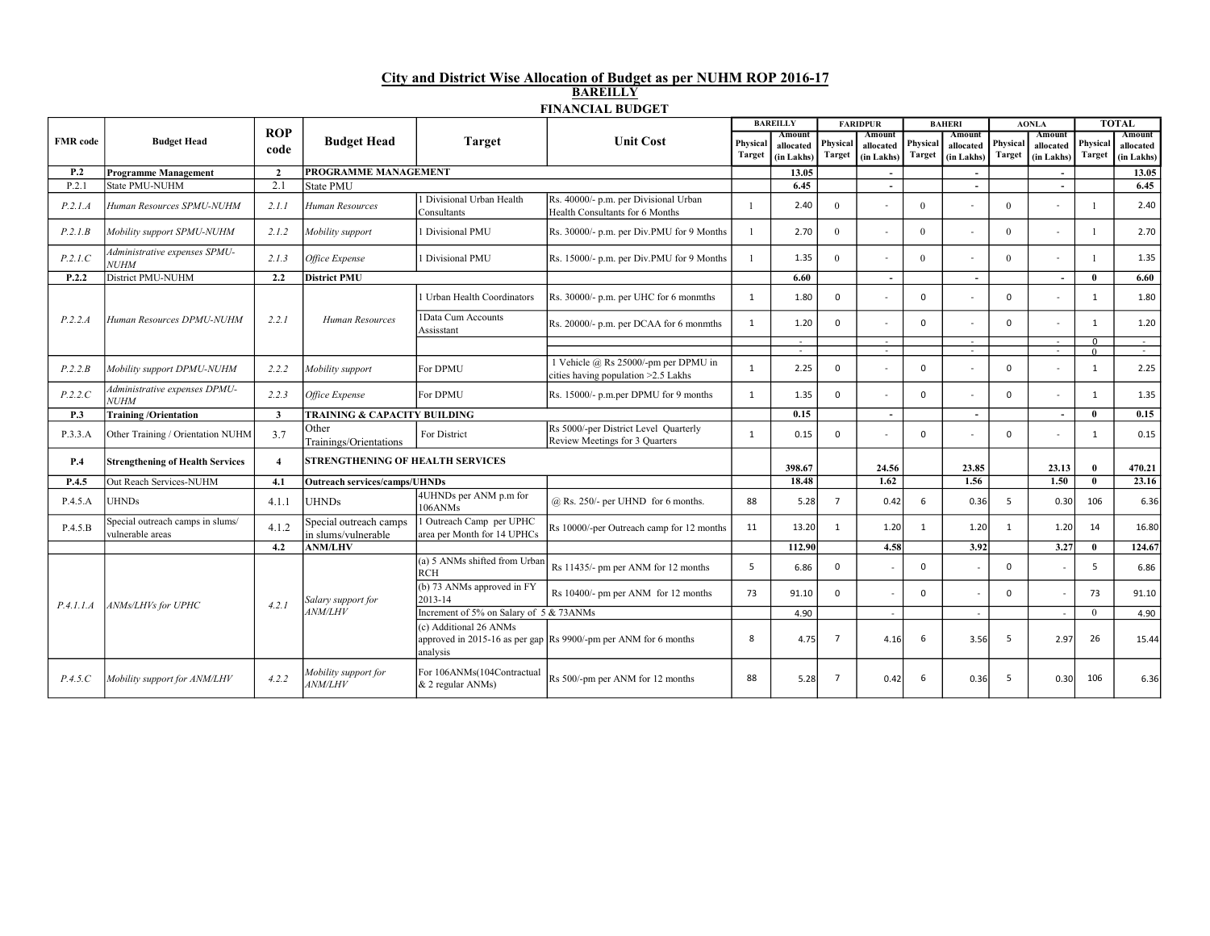## City and District Wise Allocation of Budget as per NUHM ROP 2016-17 BAREILLY FINANCIAL BUDGET

|                 | <b>Budget Head</b>                                   | <b>ROP</b><br>code      | <b>Budget Head</b>                            | <b>Target</b>                                           | <b>Unit Cost</b>                                                            | <b>BAREILLY</b> |                         | <b>FARIDPUR</b> |                         | <b>BAHERI</b> |                          | <b>AONLA</b> |                          | <b>TOTAL</b>               |                         |
|-----------------|------------------------------------------------------|-------------------------|-----------------------------------------------|---------------------------------------------------------|-----------------------------------------------------------------------------|-----------------|-------------------------|-----------------|-------------------------|---------------|--------------------------|--------------|--------------------------|----------------------------|-------------------------|
| <b>FMR</b> code |                                                      |                         |                                               |                                                         |                                                                             | Physical        | Amount                  | Physical        | Amount                  | Physical      | Amount                   | Physica      | Amount                   | Physical                   | Amount                  |
|                 |                                                      |                         |                                               |                                                         |                                                                             | Target          | allocated<br>(in Lakhs) | <b>Target</b>   | allocated<br>(in Lakhs) | Target        | allocated<br>(in Lakhs)  | Target       | allocated<br>(in Lakhs)  | <b>Target</b>              | allocated<br>(in Lakhs) |
| P.2             | <b>Programme Management</b>                          | $\overline{2}$          | PROGRAMME MANAGEMENT                          |                                                         |                                                                             |                 | 13.05                   |                 | $\sim$                  |               | $\sim$                   |              | $\sim$                   |                            | 13.05                   |
| P.2.1           | <b>State PMU-NUHM</b>                                | 2.1                     | State PMU                                     |                                                         |                                                                             |                 | 6.45                    |                 | $\sim$                  |               | $\sim$                   |              | $\sim$                   |                            | 6.45                    |
| P.2.1.A         | Human Resources SPMU-NUHM                            | 2.1.1                   | Human Resources                               | 1 Divisional Urban Health<br>Consultants                | Rs. 40000/- p.m. per Divisional Urban<br>Health Consultants for 6 Months    |                 | 2.40                    | $\Omega$        | $\sim$                  | $\Omega$      |                          | $\Omega$     |                          |                            | 2.40                    |
| P.2.1B          | Mobility support SPMU-NUHM                           | 2.1.2                   | Mobility support                              | 1 Divisional PMU                                        | Rs. 30000/- p.m. per Div.PMU for 9 Months                                   |                 | 2.70                    | $\Omega$        | $\sim$                  | $\Omega$      |                          | $\Omega$     |                          | $\mathbf{1}$               | 2.70                    |
| P.2.1.C         | Administrative expenses SPMU-<br><b>NUHM</b>         | 2.1.3                   | Office Expense                                | 1 Divisional PMU                                        | Rs. 15000/- p.m. per Div.PMU for 9 Months                                   | 1               | 1.35                    | $\Omega$        | $\sim$                  | $\theta$      |                          | $\Omega$     |                          | -1                         | 1.35                    |
| P.2.2           | District PMU-NUHM                                    | 2.2                     | <b>District PMU</b>                           |                                                         |                                                                             |                 | 6.60                    |                 | $\sim$                  |               | $\overline{\phantom{a}}$ |              | $\overline{\phantom{a}}$ | $\mathbf{0}$               | 6.60                    |
|                 |                                                      |                         |                                               | 1 Urban Health Coordinators                             | Rs. 30000/- p.m. per UHC for 6 monmths                                      | $\mathbf{1}$    | 1.80                    | $\mathbf 0$     | $\sim$                  | $\Omega$      |                          | $\Omega$     |                          | 1                          | 1.80                    |
| P.2.2.A         | Human Resources DPMU-NUHM                            | 2.2.1                   | Human Resources                               | 1Data Cum Accounts<br>Assisstant                        | Rs. 20000/- p.m. per DCAA for 6 monmths                                     | $\mathbf{1}$    | 1.20                    | $\Omega$        | $\sim$                  | $\Omega$      |                          | $\Omega$     |                          | 1                          | 1.20                    |
|                 |                                                      |                         |                                               |                                                         |                                                                             |                 | $\sim$                  |                 | $\sim$<br>$\sim$        |               | $\sim$<br>$\sim$         |              | $\sim$<br>$\sim$         | $\overline{0}$<br>$\Omega$ | $\sim$                  |
| P.2.2.B         | Mobility support DPMU-NUHM                           | 2.2.2                   | Mobility support                              | For DPMU                                                | 1 Vehicle @ Rs 25000/-pm per DPMU in<br>cities having population >2.5 Lakhs | $\mathbf{1}$    | 2.25                    | 0               | $\sim$                  | $\Omega$      |                          | $\Omega$     |                          | 1                          | $\sim$<br>2.25          |
| P.2.2.C         | Administrative expenses DPMU-<br>NUHM                | 2.2.3                   | Office Expense                                | For DPMU                                                | Rs. 15000/- p.m.per DPMU for 9 months                                       | $\mathbf{1}$    | 1.35                    | $\Omega$        | $\sim$                  | $\Omega$      |                          | $\Omega$     |                          | $\mathbf{1}$               | 1.35                    |
| P.3             | <b>Training /Orientation</b>                         | $\overline{\mathbf{3}}$ | TRAINING & CAPACITY BUILDING                  |                                                         |                                                                             |                 | 0.15                    |                 | $\sim$                  |               | $\sim$                   |              | $\sim$                   | $\mathbf{0}$               | 0.15                    |
| P.3.3.A         | Other Training / Orientation NUHM                    | 3.7                     | Other<br>Trainings/Orientations               | For District                                            | Rs 5000/-per District Level Quarterly<br>Review Meetings for 3 Quarters     | 1               | 0.15                    | $\Omega$        |                         | $\Omega$      |                          | $\Omega$     |                          | $\mathbf{1}$               | 0.15                    |
| P.4             | <b>Strengthening of Health Services</b>              | $\boldsymbol{4}$        | STRENGTHENING OF HEALTH SERVICES              |                                                         | 398.67                                                                      |                 | 24.56                   |                 | 23.85                   |               | 23.13                    | $\mathbf{0}$ | 470.21                   |                            |                         |
| P.4.5           | Out Reach Services-NUHM                              | 4.1                     | Outreach services/camps/UHNDs                 |                                                         |                                                                             |                 | 18.48                   |                 | 1.62                    |               | 1.56                     |              | 1.50                     | $\overline{0}$             | 23.16                   |
| P.4.5.A         | <b>JHNDs</b>                                         | 4.1.1                   | <b>UHNDs</b>                                  | 4UHNDs per ANM p.m for<br>106ANMs                       | $@$ Rs. 250/- per UHND for 6 months.                                        | 88              | 5.28                    | $\overline{7}$  | 0.42                    | 6             | 0.36                     | 5            | 0.30                     | 106                        | 6.36                    |
| P.4.5.B         | Special outreach camps in slums/<br>vulnerable areas | 4.1.2                   | Special outreach camps<br>in slums/vulnerable | 1 Outreach Camp per UPHC<br>area per Month for 14 UPHCs | Rs 10000/-per Outreach camp for 12 months                                   | 11              | 13.20                   | 1               | 1.20                    | 1             | 1.20                     | 1            | 1.20                     | 14                         | 16.80                   |
|                 |                                                      | 4.2                     | <b>ANM/LHV</b>                                |                                                         |                                                                             |                 | 112.90                  |                 | 4.58                    |               | 3.92                     |              | 3.27                     | $\mathbf{0}$               | 124.67                  |
|                 | ANMs/LHVs for UPHC                                   | 4.2.1                   |                                               | (a) 5 ANMs shifted from Urban<br><b>RCH</b>             | Rs 11435/- pm per ANM for 12 months                                         | 5               | 6.86                    | $\mathbf 0$     |                         | $\Omega$      |                          | 0            |                          | 5                          | 6.86                    |
| P.4.1.1.A       |                                                      |                         | Salary support for<br><b>ANM/LHV</b>          | (b) 73 ANMs approved in FY<br>2013-14                   | Rs 10400/- pm per ANM for 12 months                                         | 73              | 91.10                   | $\Omega$        |                         | $\Omega$      | ÷,                       | $\Omega$     |                          | 73                         | 91.10                   |
|                 |                                                      |                         |                                               | Increment of 5% on Salary of 5 & 73ANMs                 |                                                                             |                 | 4.90                    |                 |                         |               |                          |              |                          | $\Omega$                   | 4.90                    |
|                 |                                                      |                         |                                               | (c) Additional 26 ANMs<br>analysis                      | approved in 2015-16 as per gap Rs 9900/-pm per ANM for 6 months             | 8               | 4.75                    | $\overline{7}$  | 4.16                    | -6            | 3.56                     | 5            | 2.97                     | 26                         | 15.44                   |
| P.4.5.C         | Mobility support for ANM/LHV                         | 4.2.2                   | Mobility support for<br><i>ANM/LHV</i>        | For 106ANMs(104Contractual<br>$& 2$ regular ANMs)       | Rs 500/-pm per ANM for 12 months                                            | 88              | 5.28                    | $\overline{7}$  | 0.42                    | -6            | 0.36                     | - 5          | 0.30                     | 106                        | 6.36                    |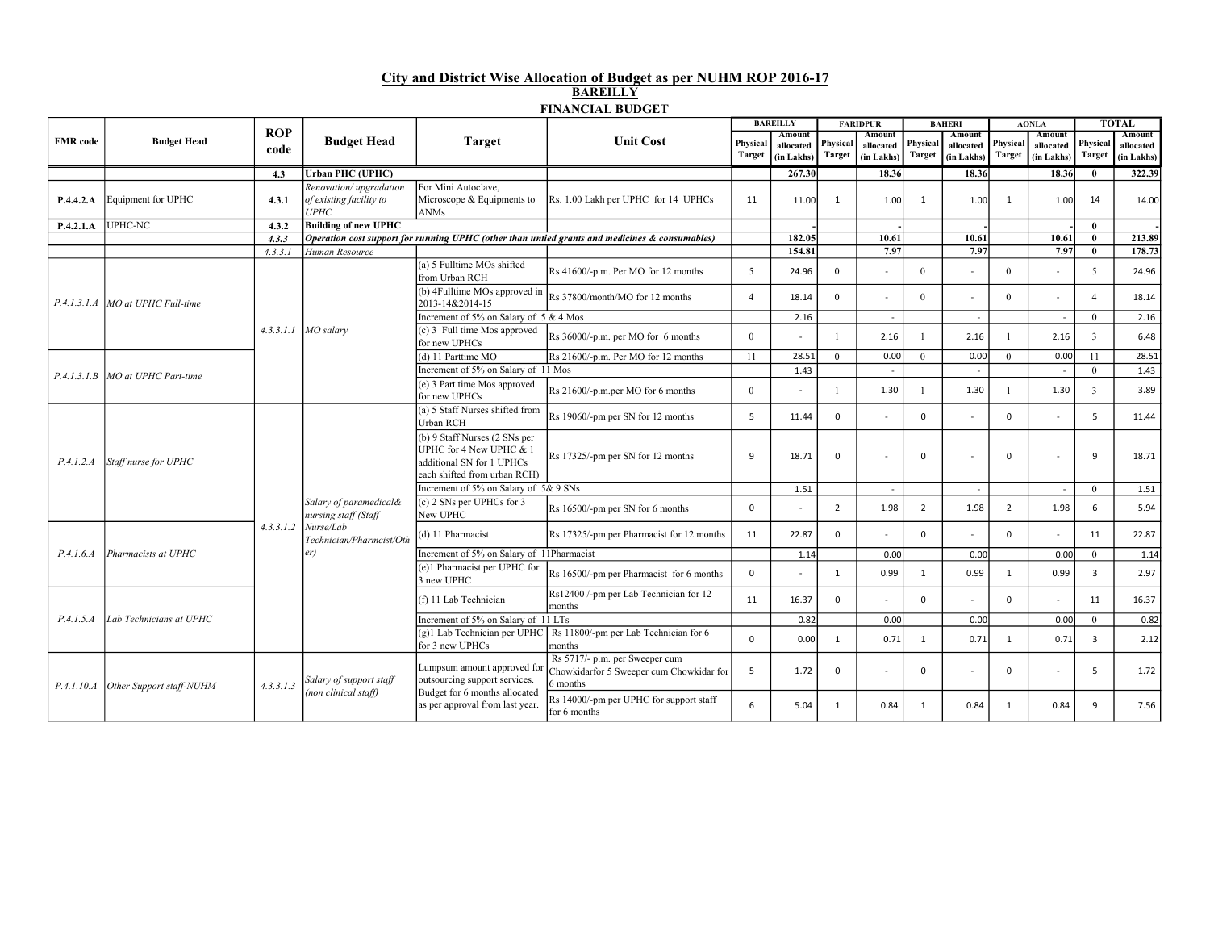## City and District Wise Allocation of Budget as per NUHM ROP 2016-17 BAREILLY FINANCIAL BUDGET

|                 | <b>Budget Head</b>                 |                    | <b>Budget Head</b>                                                                             | <b>Target</b><br><b>Unit Cost</b>                                                                                     | <b>BAREILLY</b>                                                                                |                                                                                        | <b>FARIDPUR</b>                   |                    | <b>BAHERI</b>                     |                           | <b>AONLA</b>                      |                    | <b>TOTAL</b>                           |                   |                                   |      |
|-----------------|------------------------------------|--------------------|------------------------------------------------------------------------------------------------|-----------------------------------------------------------------------------------------------------------------------|------------------------------------------------------------------------------------------------|----------------------------------------------------------------------------------------|-----------------------------------|--------------------|-----------------------------------|---------------------------|-----------------------------------|--------------------|----------------------------------------|-------------------|-----------------------------------|------|
| <b>FMR</b> code |                                    | <b>ROP</b><br>code |                                                                                                |                                                                                                                       |                                                                                                | Physical<br>Target                                                                     | Amount<br>allocated<br>(in Lakhs) | Physical<br>Target | Amount<br>allocated<br>(in Lakhs) | Physical<br><b>Target</b> | Amount<br>allocated<br>(in Lakhs) | Physical<br>Target | Amount<br>allocated<br>$(in$ Lakhs $)$ | Physica<br>Target | Amount<br>allocated<br>(in Lakhs) |      |
|                 |                                    | 4.3                | <b>Urban PHC (UPHC)</b>                                                                        |                                                                                                                       |                                                                                                |                                                                                        | 267.30                            |                    | 18.36                             |                           | 18.36                             |                    | 18.36                                  | $\mathbf{0}$      | 322.39                            |      |
| P.4.4.2.A       | Equipment for UPHC                 | 4.3.1              | Renovation/upgradation<br>of existing facility to<br><b>UPHC</b>                               | For Mini Autoclave.<br>Microscope & Equipments to<br>ANMs                                                             | Rs. 1.00 Lakh per UPHC for 14 UPHCs                                                            | 11                                                                                     | 11.00                             | $\mathbf{1}$       | 1.00                              | 1                         | 1.00                              | 1                  | 1.00                                   | 14                | 14.00                             |      |
| P.4.2.1.A       | <b>UPHC-NC</b>                     | 4.3.2              | <b>Building of new UPHC</b>                                                                    |                                                                                                                       |                                                                                                |                                                                                        |                                   |                    |                                   |                           |                                   |                    |                                        | $\mathbf{0}$      |                                   |      |
|                 |                                    | 4.3.3              |                                                                                                |                                                                                                                       | Operation cost support for running UPHC (other than untied grants and medicines & consumables) |                                                                                        | 182.05                            |                    | 10.61                             |                           | 10.61                             |                    | 10.61                                  | $\mathbf{0}$      | 213.89                            |      |
|                 |                                    | 4.3.3.1            | Human Resource                                                                                 | (a) 5 Fulltime MOs shifted<br>from Urban RCH                                                                          | Rs 41600/-p.m. Per MO for 12 months                                                            | 5                                                                                      | 154.81<br>24.96                   | $\theta$           | 7.97<br>$\sim$                    | $\Omega$                  | 7.97                              | $\theta$           | 7.97                                   | $\mathbf{0}$<br>5 | 178.73<br>24.96                   |      |
|                 | P.4.1.3.1.A MO at UPHC Full-time   |                    | $4.3.3.1.1$ MO salary                                                                          |                                                                                                                       | (b) 4Fulltime MOs approved in $\vert$ Rs 37800/month/MO for 12 months                          | $\overline{4}$                                                                         | 18.14                             | $\Omega$           | $\sim$                            | $\Omega$                  |                                   | $\Omega$           |                                        | $\overline{4}$    | 18.14                             |      |
|                 |                                    |                    |                                                                                                | Increment of 5% on Salary of 5 & 4 Mos                                                                                |                                                                                                |                                                                                        | 2.16                              |                    | $\overline{\phantom{a}}$          |                           | $\sim$                            |                    | $\overline{\phantom{a}}$               | $\theta$          | 2.16                              |      |
|                 |                                    |                    |                                                                                                | (c) 3 Full time Mos approved<br>for new UPHCs                                                                         | Rs 36000/-p.m. per MO for 6 months                                                             | $\theta$                                                                               |                                   | $\mathbf{1}$       | 2.16                              |                           | 2.16                              |                    | 2.16                                   | $\overline{3}$    | 6.48                              |      |
|                 | P.4.1.3.1.B   MO at UPHC Part-time |                    |                                                                                                | (d) 11 Parttime MO                                                                                                    | Rs 21600/-p.m. Per MO for 12 months                                                            | 11                                                                                     | 28.51                             | $\mathbf{0}$       | 0.00                              | $\overline{0}$            | 0.00                              | $\overline{0}$     | 0.00                                   | 11                | 28.51                             |      |
|                 |                                    |                    |                                                                                                | Increment of 5% on Salary of 11 Mos                                                                                   |                                                                                                |                                                                                        | 1.43                              |                    |                                   |                           |                                   |                    |                                        | $\theta$          | 1.43                              |      |
|                 |                                    |                    |                                                                                                | (e) 3 Part time Mos approved<br>for new UPHCs                                                                         | Rs 21600/-p.m.per MO for 6 months                                                              | $\mathbf{0}$                                                                           |                                   |                    | 1.30                              |                           | 1.30                              |                    | 1.30                                   | $\overline{3}$    | 3.89                              |      |
|                 | Staff nurse for UPHC               |                    |                                                                                                | (a) 5 Staff Nurses shifted from<br>Urban RCH                                                                          | Rs 19060/-pm per SN for 12 months                                                              | 5                                                                                      | 11.44                             | $\Omega$           | $\sim$                            | $\Omega$                  |                                   | $\Omega$           |                                        | 5                 | 11.44                             |      |
| P.4.1.2.A       |                                    |                    | Salary of paramedical&<br>nursing staff (Staff<br>Nurse/Lab<br>Technician/Pharmcist/Oth<br>er) | (b) 9 Staff Nurses (2 SNs per<br>UPHC for 4 New UPHC & 1<br>additional SN for 1 UPHCs<br>each shifted from urban RCH) | Rs 17325/-pm per SN for 12 months                                                              | 9                                                                                      | 18.71                             | 0                  |                                   | $\Omega$                  |                                   | $\Omega$           |                                        | 9                 | 18.71                             |      |
|                 |                                    |                    |                                                                                                | Increment of 5% on Salary of 5& 9 SNs                                                                                 |                                                                                                |                                                                                        | 1.51                              |                    | $\overline{\phantom{a}}$          |                           | $\sim$                            |                    | $\sim$                                 | $\mathbf{0}$      | 1.51                              |      |
|                 |                                    |                    |                                                                                                | (c) 2 SNs per UPHCs for 3<br>New UPHC                                                                                 | Rs 16500/-pm per SN for 6 months                                                               | $\mathbf 0$                                                                            |                                   | $\overline{2}$     | 1.98                              | $\overline{2}$            | 1.98                              | $\overline{2}$     | 1.98                                   | 6                 | 5.94                              |      |
|                 |                                    | 4.3.3.1.2          |                                                                                                | (d) 11 Pharmacist                                                                                                     | Rs 17325/-pm per Pharmacist for 12 months                                                      | 11                                                                                     | 22.87                             | 0                  | $\sim$                            | $\Omega$                  |                                   | 0                  |                                        | 11                | 22.87                             |      |
| P.4.1.6.4       | Pharmacists at UPHC                |                    |                                                                                                | Increment of 5% on Salary of 11Pharmacist                                                                             |                                                                                                |                                                                                        | 1.14                              |                    | 0.00                              |                           | 0.00                              |                    | 0.00                                   | $\overline{0}$    | 1.14                              |      |
|                 |                                    |                    |                                                                                                | (e)1 Pharmacist per UPHC for<br>3 new UPHC                                                                            | Rs 16500/-pm per Pharmacist for 6 months                                                       | $\mathbf 0$                                                                            |                                   | $\mathbf{1}$       | 0.99                              | 1                         | 0.99                              | 1                  | 0.99                                   | $\overline{3}$    | 2.97                              |      |
|                 | Lab Technicians at UPHC            |                    |                                                                                                | (f) 11 Lab Technician                                                                                                 | Rs12400 /-pm per Lab Technician for 12<br>months                                               | 11                                                                                     | 16.37                             | $\Omega$           | $\sim$                            | $\Omega$                  |                                   | $\Omega$           |                                        | 11                | 16.37                             |      |
| P.4.1.5.A       |                                    |                    |                                                                                                | Increment of 5% on Salary of 11 LTs                                                                                   |                                                                                                |                                                                                        | 0.82                              |                    | 0.00                              |                           | 0.00                              |                    | 0.00                                   | $\overline{0}$    | 0.82                              |      |
|                 |                                    |                    |                                                                                                | (g)1 Lab Technician per UPHC<br>for 3 new UPHCs                                                                       | Rs 11800/-pm per Lab Technician for 6<br>months                                                | $\Omega$                                                                               | 0.00                              | 1                  | 0.71                              | 1                         | 0.71                              | 1                  | 0.71                                   | $\overline{3}$    | 2.12                              |      |
| P.4.1.10.A      | Other Support staff-NUHM           |                    | 4, 3, 3, 1, 3                                                                                  | Salary of support staff                                                                                               | Lumpsum amount approved for<br>outsourcing support services.                                   | Rs 5717/- p.m. per Sweeper cum<br>Chowkidarfor 5 Sweeper cum Chowkidar for<br>6 months | 5                                 | 1.72               | $\mathbf 0$                       | $\sim$                    | $\Omega$                          |                    | $\mathbf 0$                            |                   | 5                                 | 1.72 |
|                 |                                    |                    | (non clinical staff)                                                                           | Budget for 6 months allocated<br>as per approval from last year.                                                      | Rs 14000/-pm per UPHC for support staff<br>for 6 months                                        | 6                                                                                      | 5.04                              | 1                  | 0.84                              | 1                         | 0.84                              | 1                  | 0.84                                   | 9                 | 7.56                              |      |